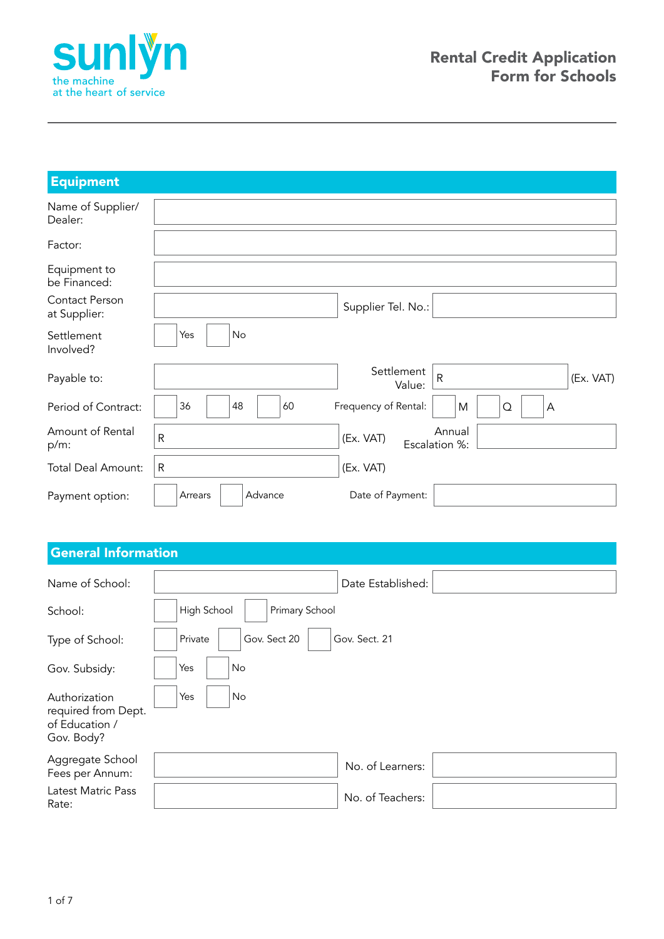

| <b>Equipment</b>               |                    |                                            |           |
|--------------------------------|--------------------|--------------------------------------------|-----------|
| Name of Supplier/<br>Dealer:   |                    |                                            |           |
| Factor:                        |                    |                                            |           |
| Equipment to<br>be Financed:   |                    |                                            |           |
| Contact Person<br>at Supplier: |                    | Supplier Tel. No.:                         |           |
| Settlement<br>Involved?        | No<br>Yes          |                                            |           |
| Payable to:                    |                    | Settlement<br>$\mathsf R$<br>Value:        | (Ex. VAT) |
| Period of Contract:            | 36<br>48<br>60     | Frequency of Rental:<br>M<br>$\Omega$<br>Α |           |
| Amount of Rental<br>$p/m$ :    | $\mathsf{R}$       | Annual<br>(Ex. VAT)<br>Escalation %:       |           |
| <b>Total Deal Amount:</b>      | $\mathsf{R}$       | (Ex. VAT)                                  |           |
| Payment option:                | Advance<br>Arrears | Date of Payment:                           |           |

### General Information

| Name of School:                                                      | Date Established:                        |
|----------------------------------------------------------------------|------------------------------------------|
| School:                                                              | High School<br>Primary School            |
| Type of School:                                                      | Gov. Sect. 21<br>Gov. Sect 20<br>Private |
| Gov. Subsidy:                                                        | Yes<br>No                                |
| Authorization<br>required from Dept.<br>of Education /<br>Gov. Body? | Yes<br>No                                |
| Aggregate School<br>Fees per Annum:                                  | No. of Learners:                         |
| Latest Matric Pass<br>Rate:                                          | No. of Teachers:                         |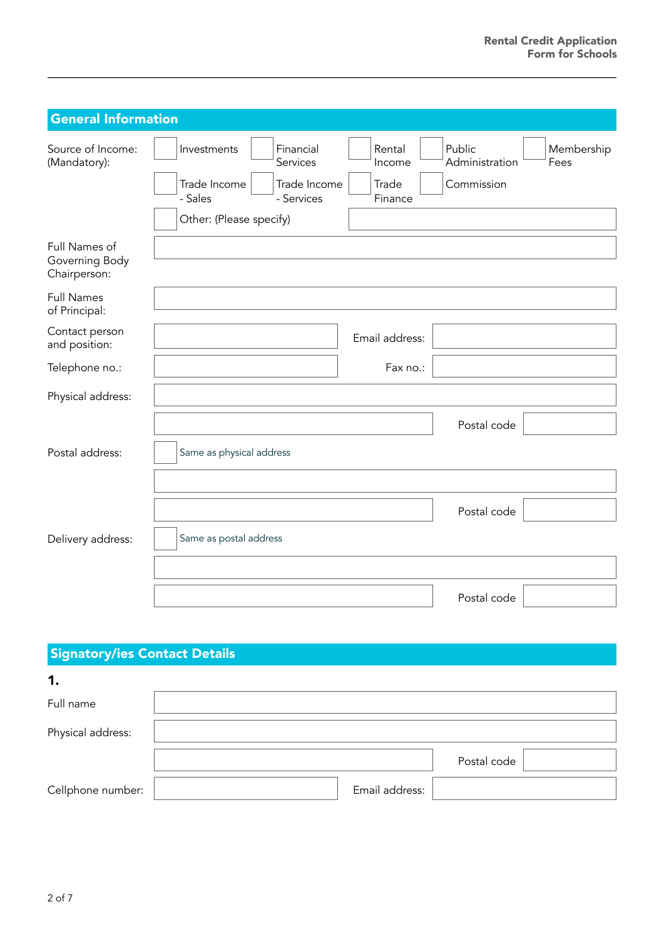| <b>General Information</b>                      |                                                                                                                          |                                      |                                        |                    |
|-------------------------------------------------|--------------------------------------------------------------------------------------------------------------------------|--------------------------------------|----------------------------------------|--------------------|
| Source of Income:<br>(Mandatory):               | Financial<br>Investments<br>Services<br>Trade Income<br>Trade Income<br>- Sales<br>- Services<br>Other: (Please specify) | Rental<br>Income<br>Trade<br>Finance | Public<br>Administration<br>Commission | Membership<br>Fees |
| Full Names of<br>Governing Body<br>Chairperson: |                                                                                                                          |                                      |                                        |                    |
| <b>Full Names</b><br>of Principal:              |                                                                                                                          |                                      |                                        |                    |
| Contact person<br>and position:                 |                                                                                                                          | Email address:                       |                                        |                    |
| Telephone no.:                                  |                                                                                                                          | Fax no.:                             |                                        |                    |
| Physical address:                               |                                                                                                                          |                                      |                                        |                    |
|                                                 |                                                                                                                          |                                      | Postal code                            |                    |
| Postal address:                                 | Same as physical address                                                                                                 |                                      |                                        |                    |
|                                                 |                                                                                                                          |                                      |                                        |                    |
|                                                 |                                                                                                                          |                                      | Postal code                            |                    |
| Delivery address:                               | Same as postal address                                                                                                   |                                      |                                        |                    |
|                                                 |                                                                                                                          |                                      |                                        |                    |
|                                                 |                                                                                                                          |                                      | Postal code                            |                    |

## Signatory/ies Contact Details

| 1.                |                |             |  |
|-------------------|----------------|-------------|--|
| Full name         |                |             |  |
| Physical address: |                |             |  |
|                   |                | Postal code |  |
| Cellphone number: | Email address: |             |  |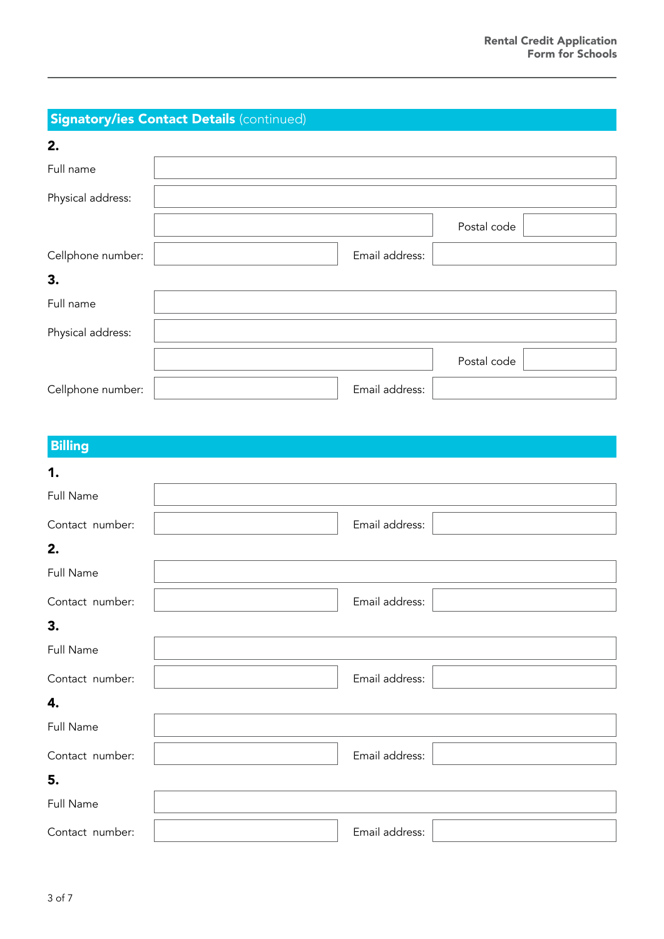## **Signatory/ies Contact Details (continued)**

| 2.                |                |             |  |
|-------------------|----------------|-------------|--|
| Full name         |                |             |  |
| Physical address: |                |             |  |
|                   |                | Postal code |  |
| Cellphone number: | Email address: |             |  |
| 3.                |                |             |  |
| Full name         |                |             |  |
| Physical address: |                |             |  |
|                   |                | Postal code |  |
| Cellphone number: | Email address: |             |  |

# **Billing**

| 1.              |                |  |
|-----------------|----------------|--|
| Full Name       |                |  |
| Contact number: | Email address: |  |
| 2.              |                |  |
| Full Name       |                |  |
| Contact number: | Email address: |  |
| 3.              |                |  |
| Full Name       |                |  |
| Contact number: | Email address: |  |
| 4.              |                |  |
| Full Name       |                |  |
| Contact number: | Email address: |  |
| 5.              |                |  |
| Full Name       |                |  |
| Contact number: | Email address: |  |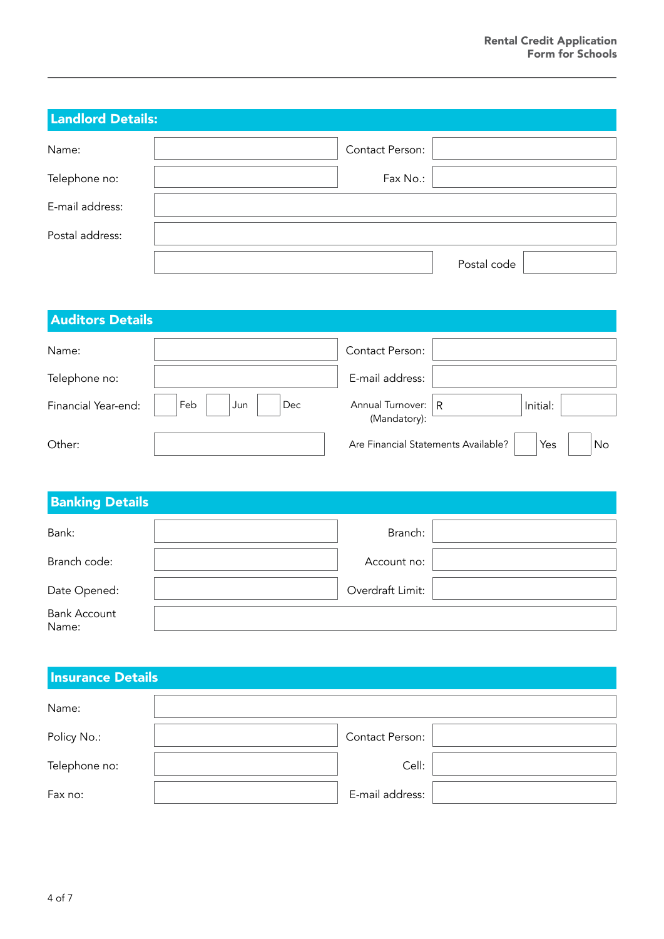| <b>Landlord Details:</b> |                 |             |
|--------------------------|-----------------|-------------|
| Name:                    | Contact Person: |             |
| Telephone no:            | Fax No.:        |             |
| E-mail address:          |                 |             |
| Postal address:          |                 |             |
|                          |                 | Postal code |

| <b>Auditors Details</b> |                   |                                     |                |           |
|-------------------------|-------------------|-------------------------------------|----------------|-----------|
| Name:                   |                   | Contact Person:                     |                |           |
| Telephone no:           |                   | E-mail address:                     |                |           |
| Financial Year-end:     | Feb<br>Dec<br>Jun | Annual Turnover:<br>(Mandatory):    | $\overline{R}$ | Initial:  |
| Other:                  |                   | Are Financial Statements Available? |                | Yes<br>No |

| <b>Banking Details</b>       |                  |  |
|------------------------------|------------------|--|
| Bank:                        | Branch:          |  |
| Branch code:                 | Account no:      |  |
| Date Opened:                 | Overdraft Limit: |  |
| <b>Bank Account</b><br>Name: |                  |  |

| <b>Insurance Details</b> |                 |  |
|--------------------------|-----------------|--|
| Name:                    |                 |  |
| Policy No.:              | Contact Person: |  |
| Telephone no:            | Cell:           |  |
| Fax no:                  | E-mail address: |  |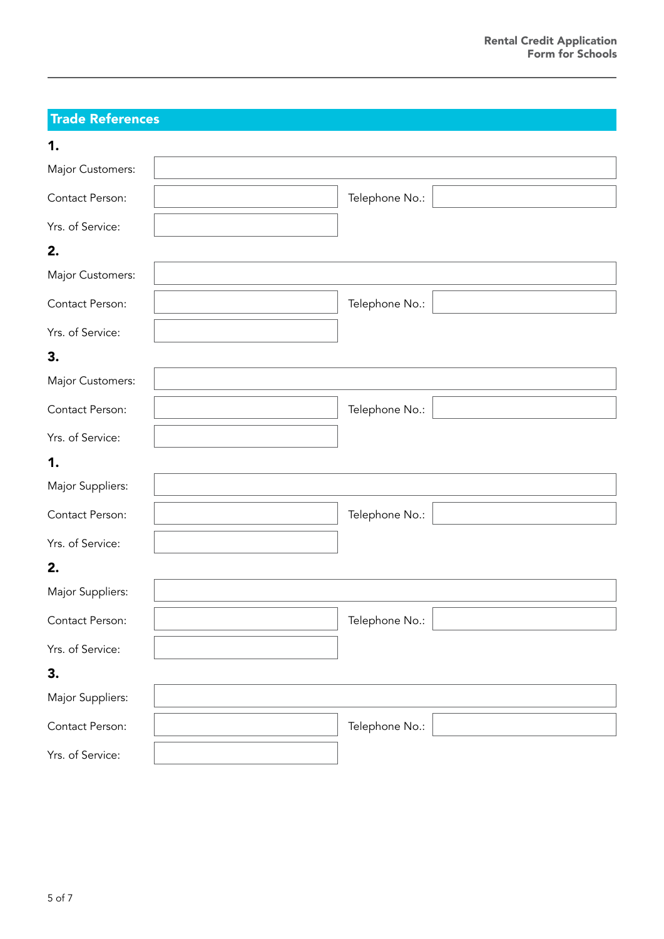## Trade References

| 1.               |                |
|------------------|----------------|
| Major Customers: |                |
| Contact Person:  | Telephone No.: |
| Yrs. of Service: |                |
| 2.               |                |
| Major Customers: |                |
| Contact Person:  | Telephone No.: |
| Yrs. of Service: |                |
| 3.               |                |
| Major Customers: |                |
| Contact Person:  | Telephone No.: |
| Yrs. of Service: |                |
| 1.               |                |
| Major Suppliers: |                |
| Contact Person:  | Telephone No.: |
| Yrs. of Service: |                |
| 2.               |                |
| Major Suppliers: |                |
| Contact Person:  | Telephone No.: |
| Yrs. of Service: |                |
| 3.               |                |
| Major Suppliers: |                |
| Contact Person:  | Telephone No.: |
| Yrs. of Service: |                |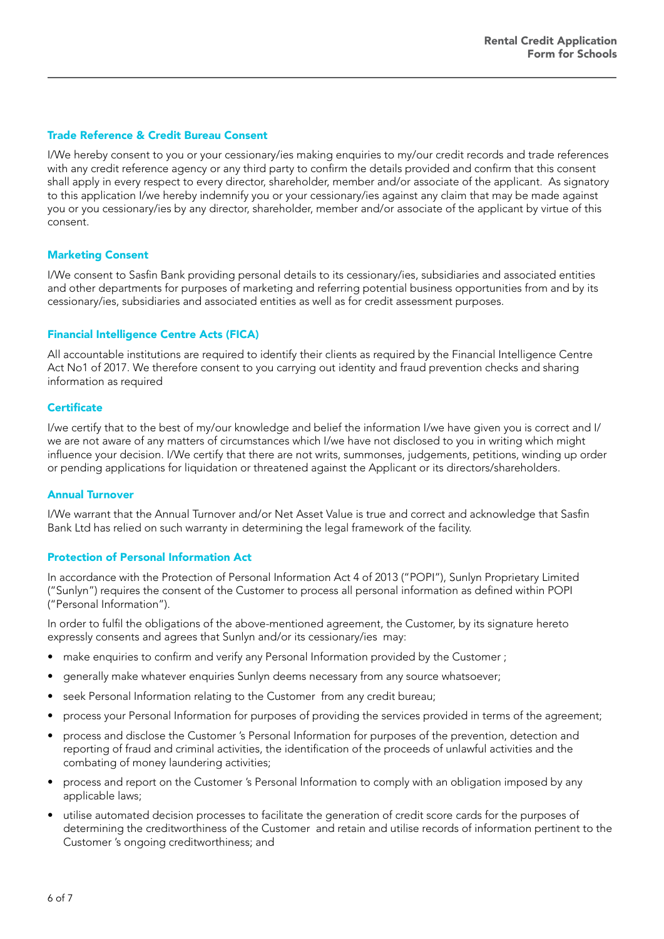#### Trade Reference & Credit Bureau Consent

I/We hereby consent to you or your cessionary/ies making enquiries to my/our credit records and trade references with any credit reference agency or any third party to confirm the details provided and confirm that this consent shall apply in every respect to every director, shareholder, member and/or associate of the applicant. As signatory to this application I/we hereby indemnify you or your cessionary/ies against any claim that may be made against you or you cessionary/ies by any director, shareholder, member and/or associate of the applicant by virtue of this consent.

#### Marketing Consent

I/We consent to Sasfin Bank providing personal details to its cessionary/ies, subsidiaries and associated entities and other departments for purposes of marketing and referring potential business opportunities from and by its cessionary/ies, subsidiaries and associated entities as well as for credit assessment purposes.

#### Financial Intelligence Centre Acts (FICA)

All accountable institutions are required to identify their clients as required by the Financial Intelligence Centre Act No1 of 2017. We therefore consent to you carrying out identity and fraud prevention checks and sharing information as required

#### **Certificate**

I/we certify that to the best of my/our knowledge and belief the information I/we have given you is correct and I/ we are not aware of any matters of circumstances which I/we have not disclosed to you in writing which might influence your decision. I/We certify that there are not writs, summonses, judgements, petitions, winding up order or pending applications for liquidation or threatened against the Applicant or its directors/shareholders.

#### Annual Turnover

I/We warrant that the Annual Turnover and/or Net Asset Value is true and correct and acknowledge that Sasfin Bank Ltd has relied on such warranty in determining the legal framework of the facility.

#### Protection of Personal Information Act

In accordance with the Protection of Personal Information Act 4 of 2013 ("POPI"), Sunlyn Proprietary Limited ("Sunlyn") requires the consent of the Customer to process all personal information as defined within POPI ("Personal Information").

In order to fulfil the obligations of the above-mentioned agreement, the Customer, by its signature hereto expressly consents and agrees that Sunlyn and/or its cessionary/ies may:

- make enquiries to confirm and verify any Personal Information provided by the Customer ;
- generally make whatever enquiries Sunlyn deems necessary from any source whatsoever;
- seek Personal Information relating to the Customer from any credit bureau;
- process your Personal Information for purposes of providing the services provided in terms of the agreement;
- process and disclose the Customer 's Personal Information for purposes of the prevention, detection and reporting of fraud and criminal activities, the identification of the proceeds of unlawful activities and the combating of money laundering activities;
- process and report on the Customer 's Personal Information to comply with an obligation imposed by any applicable laws;
- utilise automated decision processes to facilitate the generation of credit score cards for the purposes of determining the creditworthiness of the Customer and retain and utilise records of information pertinent to the Customer 's ongoing creditworthiness; and